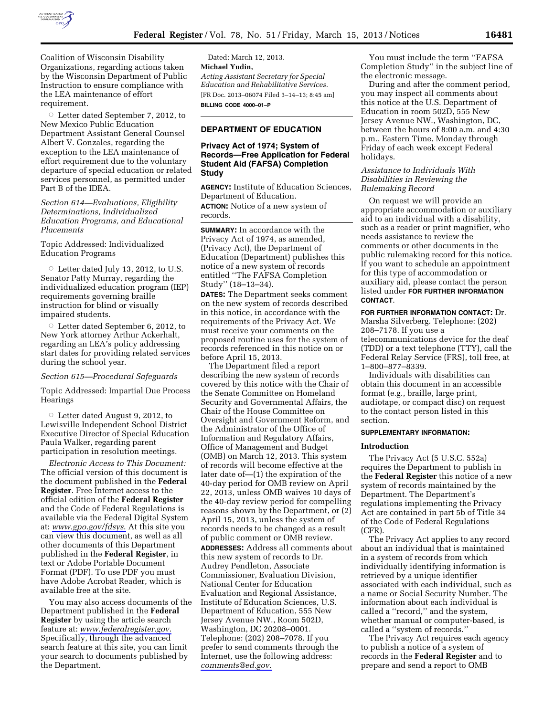

Coalition of Wisconsin Disability Organizations, regarding actions taken by the Wisconsin Department of Public Instruction to ensure compliance with the LEA maintenance of effort requirement.

G Letter dated September 7, 2012, to New Mexico Public Education Department Assistant General Counsel Albert V. Gonzales, regarding the exception to the LEA maintenance of effort requirement due to the voluntary departure of special education or related services personnel, as permitted under Part B of the IDEA.

*Section 614—Evaluations, Eligibility Determinations, Individualized Education Programs, and Educational Placements* 

Topic Addressed: Individualized Education Programs

 $\circ$  Letter dated July 13, 2012, to U.S. Senator Patty Murray, regarding the individualized education program (IEP) requirements governing braille instruction for blind or visually impaired students.

 $\circ$  Letter dated September 6, 2012, to New York attorney Arthur Ackerhalt, regarding an LEA's policy addressing start dates for providing related services during the school year.

## *Section 615—Procedural Safeguards*

Topic Addressed: Impartial Due Process Hearings

G Letter dated August 9, 2012, to Lewisville Independent School District Executive Director of Special Education Paula Walker, regarding parent participation in resolution meetings.

*Electronic Access to This Document:*  The official version of this document is the document published in the **Federal Register**. Free Internet access to the official edition of the **Federal Register**  and the Code of Federal Regulations is available via the Federal Digital System at: *[www.gpo.gov/fdsys](http://www.gpo.gov/fdsys)*. At this site you can view this document, as well as all other documents of this Department published in the **Federal Register**, in text or Adobe Portable Document Format (PDF). To use PDF you must have Adobe Acrobat Reader, which is available free at the site.

You may also access documents of the Department published in the **Federal Register** by using the article search feature at: *[www.federalregister.gov](http://www.federalregister.gov)*. Specifically, through the advanced search feature at this site, you can limit your search to documents published by the Department.

Dated: March 12, 2013. **Michael Yudin,**  *Acting Assistant Secretary for Special Education and Rehabilitative Services.*  [FR Doc. 2013–06074 Filed 3–14–13; 8:45 am] **BILLING CODE 4000–01–P** 

# **DEPARTMENT OF EDUCATION**

## **Privacy Act of 1974; System of Records—Free Application for Federal Student Aid (FAFSA) Completion Study**

**AGENCY:** Institute of Education Sciences, Department of Education.

**ACTION:** Notice of a new system of records.

**SUMMARY:** In accordance with the Privacy Act of 1974, as amended, (Privacy Act), the Department of Education (Department) publishes this notice of a new system of records entitled ''The FAFSA Completion Study'' (18–13–34).

**DATES:** The Department seeks comment on the new system of records described in this notice, in accordance with the requirements of the Privacy Act. We must receive your comments on the proposed routine uses for the system of records referenced in this notice on or before April 15, 2013.

The Department filed a report describing the new system of records covered by this notice with the Chair of the Senate Committee on Homeland Security and Governmental Affairs, the Chair of the House Committee on Oversight and Government Reform, and the Administrator of the Office of Information and Regulatory Affairs, Office of Management and Budget (OMB) on March 12, 2013. This system of records will become effective at the later date of—(1) the expiration of the 40-day period for OMB review on April 22, 2013, unless OMB waives 10 days of the 40-day review period for compelling reasons shown by the Department, or (2) April 15, 2013, unless the system of records needs to be changed as a result of public comment or OMB review. **ADDRESSES:** Address all comments about this new system of records to Dr. Audrey Pendleton, Associate Commissioner, Evaluation Division, National Center for Education Evaluation and Regional Assistance, Institute of Education Sciences, U.S. Department of Education, 555 New Jersey Avenue NW., Room 502D, Washington, DC 20208–0001. Telephone: (202) 208–7078. If you prefer to send comments through the Internet, use the following address: *[comments@ed.gov.](mailto:comments@ed.gov)* 

You must include the term ''FAFSA Completion Study'' in the subject line of the electronic message.

During and after the comment period, you may inspect all comments about this notice at the U.S. Department of Education in room 502D, 555 New Jersey Avenue NW., Washington, DC, between the hours of 8:00 a.m. and 4:30 p.m., Eastern Time, Monday through Friday of each week except Federal holidays.

# *Assistance to Individuals With Disabilities in Reviewing the Rulemaking Record*

On request we will provide an appropriate accommodation or auxiliary aid to an individual with a disability, such as a reader or print magnifier, who needs assistance to review the comments or other documents in the public rulemaking record for this notice. If you want to schedule an appointment for this type of accommodation or auxiliary aid, please contact the person listed under **FOR FURTHER INFORMATION CONTACT**.

**FOR FURTHER INFORMATION CONTACT:** Dr. Marsha Silverberg. Telephone: (202) 208–7178. If you use a telecommunications device for the deaf (TDD) or a text telephone (TTY), call the Federal Relay Service (FRS), toll free, at 1–800–877–8339.

Individuals with disabilities can obtain this document in an accessible format (e.g., braille, large print, audiotape, or compact disc) on request to the contact person listed in this section.

# **SUPPLEMENTARY INFORMATION:**

# **Introduction**

The Privacy Act (5 U.S.C. 552a) requires the Department to publish in the **Federal Register** this notice of a new system of records maintained by the Department. The Department's regulations implementing the Privacy Act are contained in part 5b of Title 34 of the Code of Federal Regulations (CFR).

The Privacy Act applies to any record about an individual that is maintained in a system of records from which individually identifying information is retrieved by a unique identifier associated with each individual, such as a name or Social Security Number. The information about each individual is called a ''record,'' and the system, whether manual or computer-based, is called a ''system of records.''

The Privacy Act requires each agency to publish a notice of a system of records in the **Federal Register** and to prepare and send a report to OMB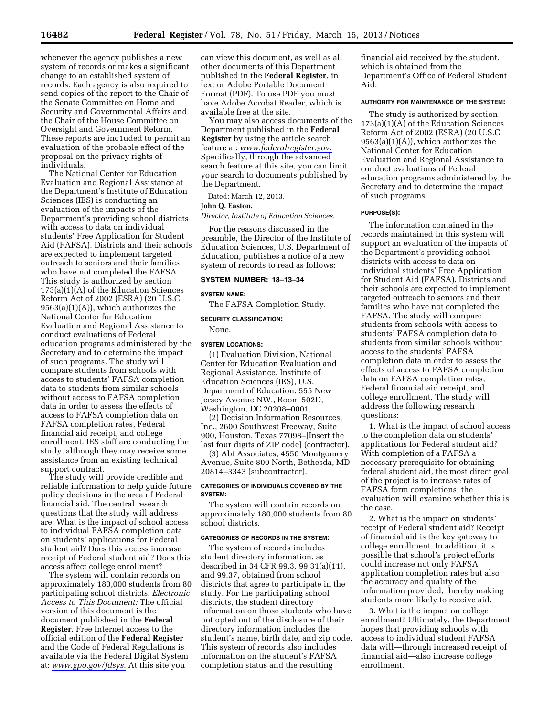whenever the agency publishes a new system of records or makes a significant change to an established system of records. Each agency is also required to send copies of the report to the Chair of the Senate Committee on Homeland Security and Governmental Affairs and the Chair of the House Committee on Oversight and Government Reform. These reports are inc1uded to permit an evaluation of the probable effect of the proposal on the privacy rights of individuals.

The National Center for Education Evaluation and Regional Assistance at the Department's Institute of Education Sciences (IES) is conducting an evaluation of the impacts of the Department's providing school districts with access to data on individual students' Free Application for Student Aid (FAFSA). Districts and their schools are expected to implement targeted outreach to seniors and their families who have not completed the FAFSA. This study is authorized by section 173(a)(1)(A) of the Education Sciences Reform Act of 2002 (ESRA) (20 U.S.C. 9563(a)(1)(A)), which authorizes the National Center for Education Evaluation and Regional Assistance to conduct evaluations of Federal education programs administered by the Secretary and to determine the impact of such programs. The study will compare students from schools with access to students' FAFSA completion data to students from similar schools without access to FAFSA completion data in order to assess the effects of access to FAFSA completion data on FAFSA completion rates, Federal financial aid receipt, and college enrollment. IES staff are conducting the study, although they may receive some assistance from an existing technical support contract.

The study will provide credible and reliable information to help guide future policy decisions in the area of Federal financial aid. The central research questions that the study will address are: What is the impact of school access to individual FAFSA completion data on students' applications for Federal student aid? Does this access increase receipt of Federal student aid? Does this access affect college enrollment?

The system will contain records on approximately 180,000 students from 80 participating school districts. *Electronic Access to This Document:* The official version of this document is the document published in the **Federal Register**. Free Internet access to the official edition of the **Federal Register**  and the Code of Federal Regulations is available via the Federal Digital System at: *[www.gpo.gov/fdsys.](http://www.gpo.gov/fdsys)* At this site you

can view this document, as well as all other documents of this Department published in the **Federal Register**, in text or Adobe Portable Document Format (PDF). To use PDF you must have Adobe Acrobat Reader, which is available free at the site.

You may also access documents of the Department published in the **Federal Register** by using the article search feature at: *[www.federalregister.gov.](http://www.federalregister.gov)*  Specifically, through the advanced search feature at this site, you can limit your search to documents published by the Department.

Dated: March 12, 2013.

#### **John Q. Easton,**

*Director, Institute of Education Sciences.* 

For the reasons discussed in the preamble, the Director of the Institute of Education Sciences, U.S. Department of Education, publishes a notice of a new system of records to read as follows:

### **SYSTEM NUMBER: 18–13–34**

#### **SYSTEM NAME:**

The FAFSA Completion Study.

#### **SECURITY CLASSIFICATION:**

None.

## **SYSTEM LOCATIONS:**

(1) Evaluation Division, National Center for Education Evaluation and Regional Assistance, Institute of Education Sciences (IES), U.S. Department of Education, 555 New Jersey Avenue NW., Room 502D, Washington, DC 20208–0001.

(2) Decision Information Resources, Inc., 2600 Southwest Freeway, Suite 900, Houston, Texas 77098–[Insert the last four digits of ZIP code] (contractor).

(3) Abt Associates, 4550 Montgomery Avenue, Suite 800 North, Bethesda, MD 20814–3343 (subcontractor).

## **CATEGORIES OF INDIVIDUALS COVERED BY THE SYSTEM:**

The system will contain records on approximately 180,000 students from 80 school districts.

#### **CATEGORIES OF RECORDS IN THE SYSTEM:**

The system of records includes student directory information, as described in 34 CFR 99.3, 99.31(a)(11), and 99.37, obtained from school districts that agree to participate in the study. For the participating school districts, the student directory information on those students who have not opted out of the disclosure of their directory information includes the student's name, birth date, and zip code. This system of records also includes information on the student's FAFSA completion status and the resulting

financial aid received by the student, which is obtained from the Department's Office of Federal Student Aid.

#### **AUTHORITY FOR MAINTENANCE OF THE SYSTEM:**

The study is authorized by section 173(a)(1)(A) of the Education Sciences Reform Act of 2002 (ESRA) (20 U.S.C.  $9563(a)(1)(A)$ , which authorizes the National Center for Education Evaluation and Regional Assistance to conduct evaluations of Federal education programs administered by the Secretary and to determine the impact of such programs.

## **PURPOSE(S):**

The information contained in the records maintained in this system will support an evaluation of the impacts of the Department's providing school districts with access to data on individual students' Free Application for Student Aid (FAFSA). Districts and their schools are expected to implement targeted outreach to seniors and their families who have not completed the FAFSA. The study will compare students from schools with access to students' FAFSA completion data to students from similar schools without access to the students' FAFSA completion data in order to assess the effects of access to FAFSA completion data on FAFSA completion rates, Federal financial aid receipt, and college enrollment. The study will address the following research questions:

1. What is the impact of school access to the completion data on students' applications for Federal student aid? With completion of a FAFSA a necessary prerequisite for obtaining federal student aid, the most direct goal of the project is to increase rates of FAFSA form completions; the evaluation will examine whether this is the case.

2. What is the impact on students' receipt of Federal student aid? Receipt of financial aid is the key gateway to college enrollment. In addition, it is possible that school's project efforts could increase not only FAFSA application completion rates but also the accuracy and quality of the information provided, thereby making students more likely to receive aid.

3. What is the impact on college enrollment? Ultimately, the Department hopes that providing schools with access to individual student FAFSA data will—through increased receipt of financial aid—also increase college enrollment.